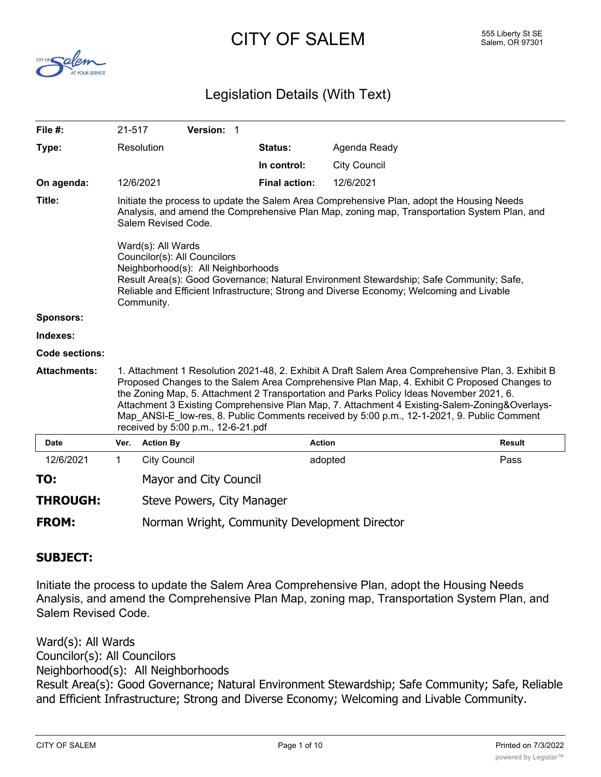# CITY OF SALEM 555 Liberty St SE



## Legislation Details (With Text)

| File #:               | 21-517      |                                                                                                                                                                                                                                                                                                                                                                                                                                                                                                                                   | Version: 1 |                      |                     |               |  |
|-----------------------|-------------|-----------------------------------------------------------------------------------------------------------------------------------------------------------------------------------------------------------------------------------------------------------------------------------------------------------------------------------------------------------------------------------------------------------------------------------------------------------------------------------------------------------------------------------|------------|----------------------|---------------------|---------------|--|
| Type:                 |             | Resolution                                                                                                                                                                                                                                                                                                                                                                                                                                                                                                                        |            | Status:              | Agenda Ready        |               |  |
|                       |             |                                                                                                                                                                                                                                                                                                                                                                                                                                                                                                                                   |            | In control:          | <b>City Council</b> |               |  |
| On agenda:            |             | 12/6/2021                                                                                                                                                                                                                                                                                                                                                                                                                                                                                                                         |            | <b>Final action:</b> | 12/6/2021           |               |  |
| Title:                |             | Initiate the process to update the Salem Area Comprehensive Plan, adopt the Housing Needs<br>Analysis, and amend the Comprehensive Plan Map, zoning map, Transportation System Plan, and<br>Salem Revised Code.<br>Ward(s): All Wards<br>Councilor(s): All Councilors<br>Neighborhood(s): All Neighborhoods<br>Result Area(s): Good Governance; Natural Environment Stewardship; Safe Community; Safe,<br>Reliable and Efficient Infrastructure; Strong and Diverse Economy; Welcoming and Livable<br>Community.                  |            |                      |                     |               |  |
| <b>Sponsors:</b>      |             |                                                                                                                                                                                                                                                                                                                                                                                                                                                                                                                                   |            |                      |                     |               |  |
| Indexes:              |             |                                                                                                                                                                                                                                                                                                                                                                                                                                                                                                                                   |            |                      |                     |               |  |
| <b>Code sections:</b> |             |                                                                                                                                                                                                                                                                                                                                                                                                                                                                                                                                   |            |                      |                     |               |  |
| <b>Attachments:</b>   |             | 1. Attachment 1 Resolution 2021-48, 2. Exhibit A Draft Salem Area Comprehensive Plan, 3. Exhibit B<br>Proposed Changes to the Salem Area Comprehensive Plan Map, 4. Exhibit C Proposed Changes to<br>the Zoning Map, 5. Attachment 2 Transportation and Parks Policy Ideas November 2021, 6.<br>Attachment 3 Existing Comprehensive Plan Map, 7. Attachment 4 Existing-Salem-Zoning&Overlays-<br>Map ANSI-E_low-res, 8. Public Comments received by 5:00 p.m., 12-1-2021, 9. Public Comment<br>received by 5:00 p.m., 12-6-21.pdf |            |                      |                     |               |  |
| <b>Date</b>           | Ver.        | <b>Action By</b>                                                                                                                                                                                                                                                                                                                                                                                                                                                                                                                  |            |                      | <b>Action</b>       | <b>Result</b> |  |
| 12/6/2021             | $\mathbf 1$ | <b>City Council</b>                                                                                                                                                                                                                                                                                                                                                                                                                                                                                                               |            |                      | adopted             | Pass          |  |
| TO:                   |             | Mayor and City Council                                                                                                                                                                                                                                                                                                                                                                                                                                                                                                            |            |                      |                     |               |  |
| <b>THROUGH:</b>       |             | Steve Powers, City Manager                                                                                                                                                                                                                                                                                                                                                                                                                                                                                                        |            |                      |                     |               |  |
| <b>FROM:</b>          |             | Norman Wright, Community Development Director                                                                                                                                                                                                                                                                                                                                                                                                                                                                                     |            |                      |                     |               |  |

#### **SUBJECT:**

Initiate the process to update the Salem Area Comprehensive Plan, adopt the Housing Needs Analysis, and amend the Comprehensive Plan Map, zoning map, Transportation System Plan, and Salem Revised Code.

Ward(s): All Wards Councilor(s): All Councilors Neighborhood(s): All Neighborhoods Result Area(s): Good Governance; Natural Environment Stewardship; Safe Community; Safe, Reliable and Efficient Infrastructure; Strong and Diverse Economy; Welcoming and Livable Community.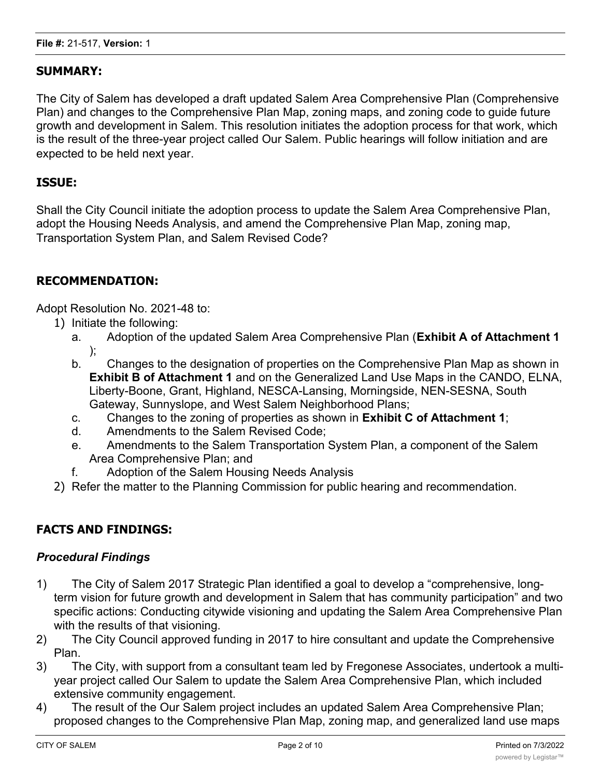## **SUMMARY:**

The City of Salem has developed a draft updated Salem Area Comprehensive Plan (Comprehensive Plan) and changes to the Comprehensive Plan Map, zoning maps, and zoning code to guide future growth and development in Salem. This resolution initiates the adoption process for that work, which is the result of the three-year project called Our Salem. Public hearings will follow initiation and are expected to be held next year.

### **ISSUE:**

Shall the City Council initiate the adoption process to update the Salem Area Comprehensive Plan, adopt the Housing Needs Analysis, and amend the Comprehensive Plan Map, zoning map, Transportation System Plan, and Salem Revised Code?

#### **RECOMMENDATION:**

Adopt Resolution No. 2021-48 to:

- 1) Initiate the following:
	- a. Adoption of the updated Salem Area Comprehensive Plan (**Exhibit A of Attachment 1** );
	- b. Changes to the designation of properties on the Comprehensive Plan Map as shown in **Exhibit B of Attachment 1** and on the Generalized Land Use Maps in the CANDO, ELNA, Liberty-Boone, Grant, Highland, NESCA-Lansing, Morningside, NEN-SESNA, South Gateway, Sunnyslope, and West Salem Neighborhood Plans;
	- c. Changes to the zoning of properties as shown in **Exhibit C of Attachment 1**;
	- d. Amendments to the Salem Revised Code;
	- e. Amendments to the Salem Transportation System Plan, a component of the Salem Area Comprehensive Plan; and
	- f. Adoption of the Salem Housing Needs Analysis
- 2) Refer the matter to the Planning Commission for public hearing and recommendation.

## **FACTS AND FINDINGS:**

#### *Procedural Findings*

- 1) The City of Salem 2017 Strategic Plan identified a goal to develop a "comprehensive, longterm vision for future growth and development in Salem that has community participation" and two specific actions: Conducting citywide visioning and updating the Salem Area Comprehensive Plan with the results of that visioning.
- 2) The City Council approved funding in 2017 to hire consultant and update the Comprehensive Plan.
- 3) The City, with support from a consultant team led by Fregonese Associates, undertook a multiyear project called Our Salem to update the Salem Area Comprehensive Plan, which included extensive community engagement.
- 4) The result of the Our Salem project includes an updated Salem Area Comprehensive Plan; proposed changes to the Comprehensive Plan Map, zoning map, and generalized land use maps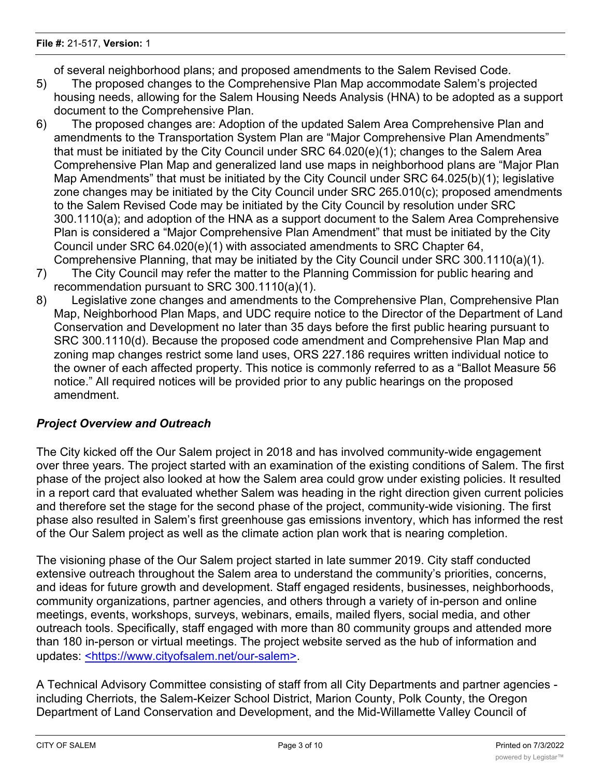of several neighborhood plans; and proposed amendments to the Salem Revised Code.

- 5) The proposed changes to the Comprehensive Plan Map accommodate Salem's projected housing needs, allowing for the Salem Housing Needs Analysis (HNA) to be adopted as a support document to the Comprehensive Plan.
- 6) The proposed changes are: Adoption of the updated Salem Area Comprehensive Plan and amendments to the Transportation System Plan are "Major Comprehensive Plan Amendments" that must be initiated by the City Council under SRC 64.020(e)(1); changes to the Salem Area Comprehensive Plan Map and generalized land use maps in neighborhood plans are "Major Plan Map Amendments" that must be initiated by the City Council under SRC 64.025(b)(1); legislative zone changes may be initiated by the City Council under SRC 265.010(c); proposed amendments to the Salem Revised Code may be initiated by the City Council by resolution under SRC 300.1110(a); and adoption of the HNA as a support document to the Salem Area Comprehensive Plan is considered a "Major Comprehensive Plan Amendment" that must be initiated by the City Council under SRC 64.020(e)(1) with associated amendments to SRC Chapter 64, Comprehensive Planning, that may be initiated by the City Council under SRC 300.1110(a)(1).
- 7) The City Council may refer the matter to the Planning Commission for public hearing and recommendation pursuant to SRC 300.1110(a)(1).
- 8) Legislative zone changes and amendments to the Comprehensive Plan, Comprehensive Plan Map, Neighborhood Plan Maps, and UDC require notice to the Director of the Department of Land Conservation and Development no later than 35 days before the first public hearing pursuant to SRC 300.1110(d). Because the proposed code amendment and Comprehensive Plan Map and zoning map changes restrict some land uses, ORS 227.186 requires written individual notice to the owner of each affected property. This notice is commonly referred to as a "Ballot Measure 56 notice." All required notices will be provided prior to any public hearings on the proposed amendment.

## *Project Overview and Outreach*

The City kicked off the Our Salem project in 2018 and has involved community-wide engagement over three years. The project started with an examination of the existing conditions of Salem. The first phase of the project also looked at how the Salem area could grow under existing policies. It resulted in a report card that evaluated whether Salem was heading in the right direction given current policies and therefore set the stage for the second phase of the project, community-wide visioning. The first phase also resulted in Salem's first greenhouse gas emissions inventory, which has informed the rest of the Our Salem project as well as the climate action plan work that is nearing completion.

The visioning phase of the Our Salem project started in late summer 2019. City staff conducted extensive outreach throughout the Salem area to understand the community's priorities, concerns, and ideas for future growth and development. Staff engaged residents, businesses, neighborhoods, community organizations, partner agencies, and others through a variety of in-person and online meetings, events, workshops, surveys, webinars, emails, mailed flyers, social media, and other outreach tools. Specifically, staff engaged with more than 80 community groups and attended more than 180 in-person or virtual meetings. The project website served as the hub of information and updates: <https://www.cityofsalem.net/our-salem>.

A Technical Advisory Committee consisting of staff from all City Departments and partner agencies including Cherriots, the Salem-Keizer School District, Marion County, Polk County, the Oregon Department of Land Conservation and Development, and the Mid-Willamette Valley Council of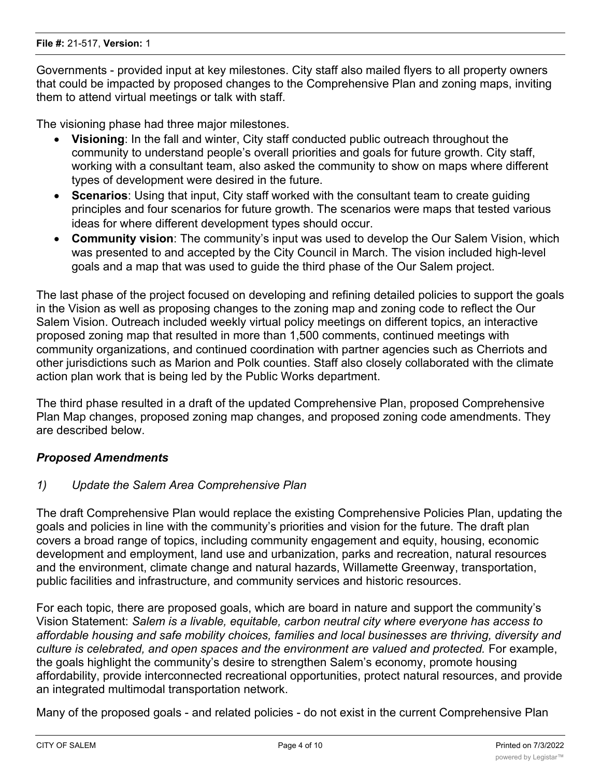Governments - provided input at key milestones. City staff also mailed flyers to all property owners that could be impacted by proposed changes to the Comprehensive Plan and zoning maps, inviting them to attend virtual meetings or talk with staff.

The visioning phase had three major milestones.

- · **Visioning**: In the fall and winter, City staff conducted public outreach throughout the community to understand people's overall priorities and goals for future growth. City staff, working with a consultant team, also asked the community to show on maps where different types of development were desired in the future.
- · **Scenarios**: Using that input, City staff worked with the consultant team to create guiding principles and four scenarios for future growth. The scenarios were maps that tested various ideas for where different development types should occur.
- **Community vision:** The community's input was used to develop the Our Salem Vision, which was presented to and accepted by the City Council in March. The vision included high-level goals and a map that was used to guide the third phase of the Our Salem project.

The last phase of the project focused on developing and refining detailed policies to support the goals in the Vision as well as proposing changes to the zoning map and zoning code to reflect the Our Salem Vision. Outreach included weekly virtual policy meetings on different topics, an interactive proposed zoning map that resulted in more than 1,500 comments, continued meetings with community organizations, and continued coordination with partner agencies such as Cherriots and other jurisdictions such as Marion and Polk counties. Staff also closely collaborated with the climate action plan work that is being led by the Public Works department.

The third phase resulted in a draft of the updated Comprehensive Plan, proposed Comprehensive Plan Map changes, proposed zoning map changes, and proposed zoning code amendments. They are described below.

#### *Proposed Amendments*

#### *1) Update the Salem Area Comprehensive Plan*

The draft Comprehensive Plan would replace the existing Comprehensive Policies Plan, updating the goals and policies in line with the community's priorities and vision for the future. The draft plan covers a broad range of topics, including community engagement and equity, housing, economic development and employment, land use and urbanization, parks and recreation, natural resources and the environment, climate change and natural hazards, Willamette Greenway, transportation, public facilities and infrastructure, and community services and historic resources.

For each topic, there are proposed goals, which are board in nature and support the community's Vision Statement: *Salem is a livable, equitable, carbon neutral city where everyone has access to affordable housing and safe mobility choices, families and local businesses are thriving, diversity and culture is celebrated, and open spaces and the environment are valued and protected.* For example, the goals highlight the community's desire to strengthen Salem's economy, promote housing affordability, provide interconnected recreational opportunities, protect natural resources, and provide an integrated multimodal transportation network.

Many of the proposed goals - and related policies - do not exist in the current Comprehensive Plan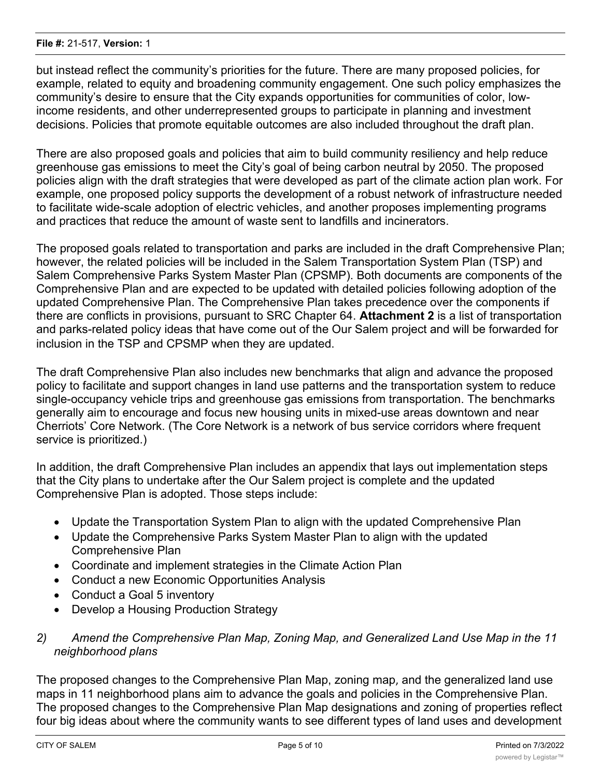but instead reflect the community's priorities for the future. There are many proposed policies, for example, related to equity and broadening community engagement. One such policy emphasizes the community's desire to ensure that the City expands opportunities for communities of color, lowincome residents, and other underrepresented groups to participate in planning and investment decisions. Policies that promote equitable outcomes are also included throughout the draft plan.

There are also proposed goals and policies that aim to build community resiliency and help reduce greenhouse gas emissions to meet the City's goal of being carbon neutral by 2050. The proposed policies align with the draft strategies that were developed as part of the climate action plan work. For example, one proposed policy supports the development of a robust network of infrastructure needed to facilitate wide-scale adoption of electric vehicles, and another proposes implementing programs and practices that reduce the amount of waste sent to landfills and incinerators.

The proposed goals related to transportation and parks are included in the draft Comprehensive Plan; however, the related policies will be included in the Salem Transportation System Plan (TSP) and Salem Comprehensive Parks System Master Plan (CPSMP). Both documents are components of the Comprehensive Plan and are expected to be updated with detailed policies following adoption of the updated Comprehensive Plan. The Comprehensive Plan takes precedence over the components if there are conflicts in provisions, pursuant to SRC Chapter 64. **Attachment 2** is a list of transportation and parks-related policy ideas that have come out of the Our Salem project and will be forwarded for inclusion in the TSP and CPSMP when they are updated.

The draft Comprehensive Plan also includes new benchmarks that align and advance the proposed policy to facilitate and support changes in land use patterns and the transportation system to reduce single-occupancy vehicle trips and greenhouse gas emissions from transportation. The benchmarks generally aim to encourage and focus new housing units in mixed-use areas downtown and near Cherriots' Core Network. (The Core Network is a network of bus service corridors where frequent service is prioritized.)

In addition, the draft Comprehensive Plan includes an appendix that lays out implementation steps that the City plans to undertake after the Our Salem project is complete and the updated Comprehensive Plan is adopted. Those steps include:

- · Update the Transportation System Plan to align with the updated Comprehensive Plan
- · Update the Comprehensive Parks System Master Plan to align with the updated Comprehensive Plan
- · Coordinate and implement strategies in the Climate Action Plan
- · Conduct a new Economic Opportunities Analysis
- Conduct a Goal 5 inventory
- · Develop a Housing Production Strategy
- *2) Amend the Comprehensive Plan Map, Zoning Map, and Generalized Land Use Map in the 11 neighborhood plans*

The proposed changes to the Comprehensive Plan Map, zoning map, and the generalized land use maps in 11 neighborhood plans aim to advance the goals and policies in the Comprehensive Plan. The proposed changes to the Comprehensive Plan Map designations and zoning of properties reflect four big ideas about where the community wants to see different types of land uses and development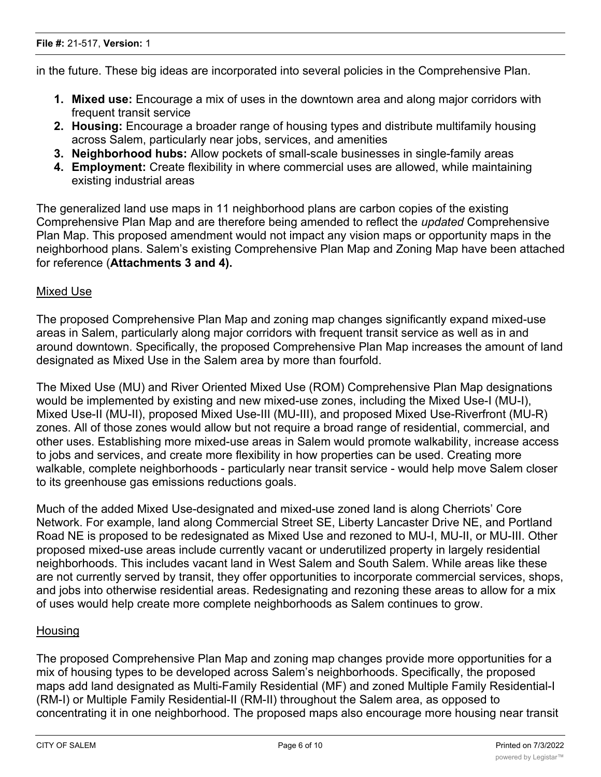in the future. These big ideas are incorporated into several policies in the Comprehensive Plan.

- **1. Mixed use:** Encourage a mix of uses in the downtown area and along major corridors with frequent transit service
- **2. Housing:** Encourage a broader range of housing types and distribute multifamily housing across Salem, particularly near jobs, services, and amenities
- **3. Neighborhood hubs:** Allow pockets of small-scale businesses in single-family areas
- **4. Employment:** Create flexibility in where commercial uses are allowed, while maintaining existing industrial areas

The generalized land use maps in 11 neighborhood plans are carbon copies of the existing Comprehensive Plan Map and are therefore being amended to reflect the *updated* Comprehensive Plan Map. This proposed amendment would not impact any vision maps or opportunity maps in the neighborhood plans. Salem's existing Comprehensive Plan Map and Zoning Map have been attached for reference (**Attachments 3 and 4).**

#### Mixed Use

The proposed Comprehensive Plan Map and zoning map changes significantly expand mixed-use areas in Salem, particularly along major corridors with frequent transit service as well as in and around downtown. Specifically, the proposed Comprehensive Plan Map increases the amount of land designated as Mixed Use in the Salem area by more than fourfold.

The Mixed Use (MU) and River Oriented Mixed Use (ROM) Comprehensive Plan Map designations would be implemented by existing and new mixed-use zones, including the Mixed Use-I (MU-I), Mixed Use-II (MU-II), proposed Mixed Use-III (MU-III), and proposed Mixed Use-Riverfront (MU-R) zones. All of those zones would allow but not require a broad range of residential, commercial, and other uses. Establishing more mixed-use areas in Salem would promote walkability, increase access to jobs and services, and create more flexibility in how properties can be used. Creating more walkable, complete neighborhoods - particularly near transit service - would help move Salem closer to its greenhouse gas emissions reductions goals.

Much of the added Mixed Use-designated and mixed-use zoned land is along Cherriots' Core Network. For example, land along Commercial Street SE, Liberty Lancaster Drive NE, and Portland Road NE is proposed to be redesignated as Mixed Use and rezoned to MU-I, MU-II, or MU-III. Other proposed mixed-use areas include currently vacant or underutilized property in largely residential neighborhoods. This includes vacant land in West Salem and South Salem. While areas like these are not currently served by transit, they offer opportunities to incorporate commercial services, shops, and jobs into otherwise residential areas. Redesignating and rezoning these areas to allow for a mix of uses would help create more complete neighborhoods as Salem continues to grow.

#### **Housing**

The proposed Comprehensive Plan Map and zoning map changes provide more opportunities for a mix of housing types to be developed across Salem's neighborhoods. Specifically, the proposed maps add land designated as Multi-Family Residential (MF) and zoned Multiple Family Residential-I (RM-I) or Multiple Family Residential-II (RM-II) throughout the Salem area, as opposed to concentrating it in one neighborhood. The proposed maps also encourage more housing near transit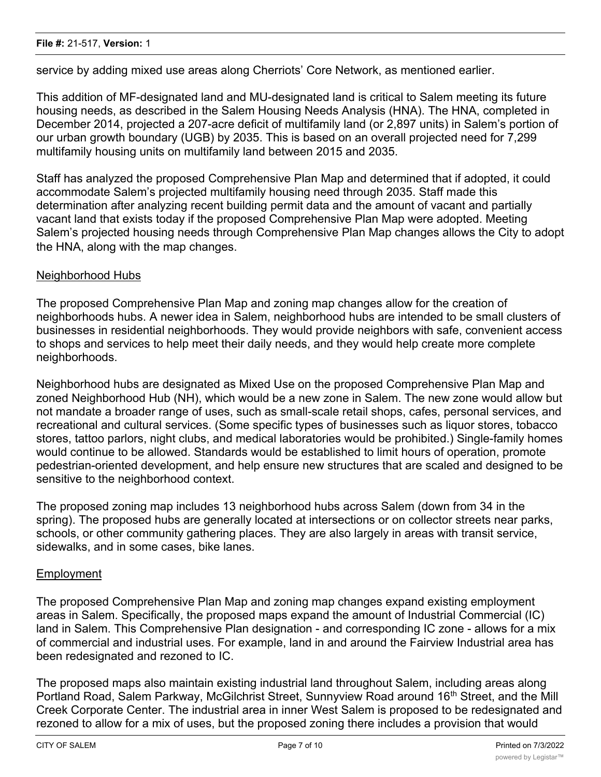service by adding mixed use areas along Cherriots' Core Network, as mentioned earlier.

This addition of MF-designated land and MU-designated land is critical to Salem meeting its future housing needs, as described in the Salem Housing Needs Analysis (HNA). The HNA, completed in December 2014, projected a 207-acre deficit of multifamily land (or 2,897 units) in Salem's portion of our urban growth boundary (UGB) by 2035. This is based on an overall projected need for 7,299 multifamily housing units on multifamily land between 2015 and 2035.

Staff has analyzed the proposed Comprehensive Plan Map and determined that if adopted, it could accommodate Salem's projected multifamily housing need through 2035. Staff made this determination after analyzing recent building permit data and the amount of vacant and partially vacant land that exists today if the proposed Comprehensive Plan Map were adopted. Meeting Salem's projected housing needs through Comprehensive Plan Map changes allows the City to adopt the HNA, along with the map changes.

#### Neighborhood Hubs

The proposed Comprehensive Plan Map and zoning map changes allow for the creation of neighborhoods hubs. A newer idea in Salem, neighborhood hubs are intended to be small clusters of businesses in residential neighborhoods. They would provide neighbors with safe, convenient access to shops and services to help meet their daily needs, and they would help create more complete neighborhoods.

Neighborhood hubs are designated as Mixed Use on the proposed Comprehensive Plan Map and zoned Neighborhood Hub (NH), which would be a new zone in Salem. The new zone would allow but not mandate a broader range of uses, such as small-scale retail shops, cafes, personal services, and recreational and cultural services. (Some specific types of businesses such as liquor stores, tobacco stores, tattoo parlors, night clubs, and medical laboratories would be prohibited.) Single-family homes would continue to be allowed. Standards would be established to limit hours of operation, promote pedestrian-oriented development, and help ensure new structures that are scaled and designed to be sensitive to the neighborhood context.

The proposed zoning map includes 13 neighborhood hubs across Salem (down from 34 in the spring). The proposed hubs are generally located at intersections or on collector streets near parks, schools, or other community gathering places. They are also largely in areas with transit service, sidewalks, and in some cases, bike lanes.

#### Employment

The proposed Comprehensive Plan Map and zoning map changes expand existing employment areas in Salem. Specifically, the proposed maps expand the amount of Industrial Commercial (IC) land in Salem. This Comprehensive Plan designation - and corresponding IC zone - allows for a mix of commercial and industrial uses. For example, land in and around the Fairview Industrial area has been redesignated and rezoned to IC.

The proposed maps also maintain existing industrial land throughout Salem, including areas along Portland Road, Salem Parkway, McGilchrist Street, Sunnyview Road around 16<sup>th</sup> Street, and the Mill Creek Corporate Center. The industrial area in inner West Salem is proposed to be redesignated and rezoned to allow for a mix of uses, but the proposed zoning there includes a provision that would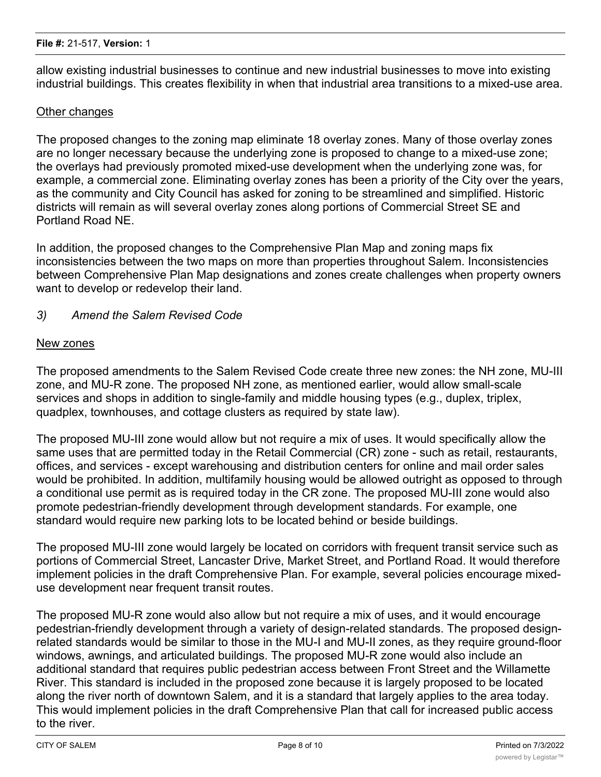allow existing industrial businesses to continue and new industrial businesses to move into existing industrial buildings. This creates flexibility in when that industrial area transitions to a mixed-use area.

#### Other changes

The proposed changes to the zoning map eliminate 18 overlay zones. Many of those overlay zones are no longer necessary because the underlying zone is proposed to change to a mixed-use zone; the overlays had previously promoted mixed-use development when the underlying zone was, for example, a commercial zone. Eliminating overlay zones has been a priority of the City over the years, as the community and City Council has asked for zoning to be streamlined and simplified. Historic districts will remain as will several overlay zones along portions of Commercial Street SE and Portland Road NE.

In addition, the proposed changes to the Comprehensive Plan Map and zoning maps fix inconsistencies between the two maps on more than properties throughout Salem. Inconsistencies between Comprehensive Plan Map designations and zones create challenges when property owners want to develop or redevelop their land.

## *3) Amend the Salem Revised Code*

#### New zones

The proposed amendments to the Salem Revised Code create three new zones: the NH zone, MU-III zone, and MU-R zone. The proposed NH zone, as mentioned earlier, would allow small-scale services and shops in addition to single-family and middle housing types (e.g., duplex, triplex, quadplex, townhouses, and cottage clusters as required by state law).

The proposed MU-III zone would allow but not require a mix of uses. It would specifically allow the same uses that are permitted today in the Retail Commercial (CR) zone - such as retail, restaurants, offices, and services - except warehousing and distribution centers for online and mail order sales would be prohibited. In addition, multifamily housing would be allowed outright as opposed to through a conditional use permit as is required today in the CR zone. The proposed MU-III zone would also promote pedestrian-friendly development through development standards. For example, one standard would require new parking lots to be located behind or beside buildings.

The proposed MU-III zone would largely be located on corridors with frequent transit service such as portions of Commercial Street, Lancaster Drive, Market Street, and Portland Road. It would therefore implement policies in the draft Comprehensive Plan. For example, several policies encourage mixeduse development near frequent transit routes.

The proposed MU-R zone would also allow but not require a mix of uses, and it would encourage pedestrian-friendly development through a variety of design-related standards. The proposed designrelated standards would be similar to those in the MU-I and MU-II zones, as they require ground-floor windows, awnings, and articulated buildings. The proposed MU-R zone would also include an additional standard that requires public pedestrian access between Front Street and the Willamette River. This standard is included in the proposed zone because it is largely proposed to be located along the river north of downtown Salem, and it is a standard that largely applies to the area today. This would implement policies in the draft Comprehensive Plan that call for increased public access to the river.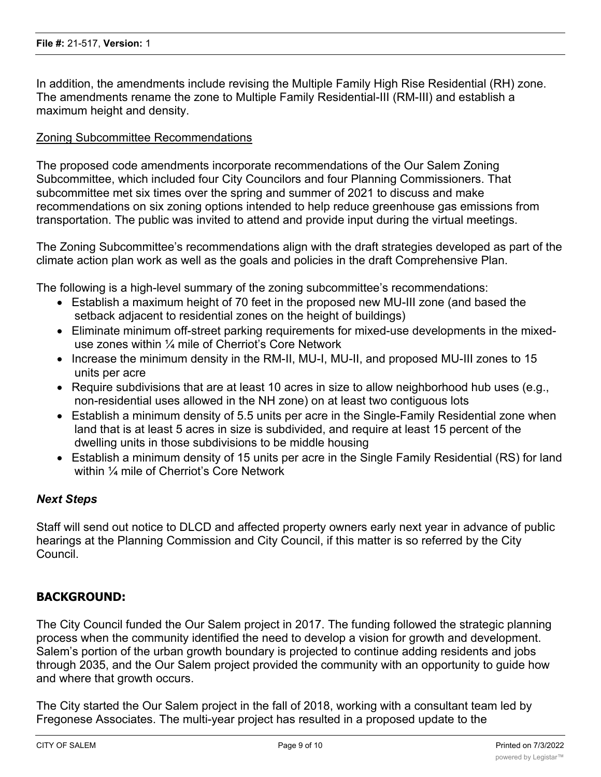In addition, the amendments include revising the Multiple Family High Rise Residential (RH) zone. The amendments rename the zone to Multiple Family Residential-III (RM-III) and establish a maximum height and density.

#### Zoning Subcommittee Recommendations

The proposed code amendments incorporate recommendations of the Our Salem Zoning Subcommittee, which included four City Councilors and four Planning Commissioners. That subcommittee met six times over the spring and summer of 2021 to discuss and make recommendations on six zoning options intended to help reduce greenhouse gas emissions from transportation. The public was invited to attend and provide input during the virtual meetings.

The Zoning Subcommittee's recommendations align with the draft strategies developed as part of the climate action plan work as well as the goals and policies in the draft Comprehensive Plan.

The following is a high-level summary of the zoning subcommittee's recommendations:

- Establish a maximum height of 70 feet in the proposed new MU-III zone (and based the setback adjacent to residential zones on the height of buildings)
- · Eliminate minimum off-street parking requirements for mixed-use developments in the mixeduse zones within ¼ mile of Cherriot's Core Network
- Increase the minimum density in the RM-II, MU-I, MU-II, and proposed MU-III zones to 15 units per acre
- Require subdivisions that are at least 10 acres in size to allow neighborhood hub uses (e.g., non-residential uses allowed in the NH zone) on at least two contiguous lots
- Establish a minimum density of 5.5 units per acre in the Single-Family Residential zone when land that is at least 5 acres in size is subdivided, and require at least 15 percent of the dwelling units in those subdivisions to be middle housing
- Establish a minimum density of 15 units per acre in the Single Family Residential (RS) for land within  $\frac{1}{4}$  mile of Cherriot's Core Network

#### *Next Steps*

Staff will send out notice to DLCD and affected property owners early next year in advance of public hearings at the Planning Commission and City Council, if this matter is so referred by the City Council.

#### **BACKGROUND:**

The City Council funded the Our Salem project in 2017. The funding followed the strategic planning process when the community identified the need to develop a vision for growth and development. Salem's portion of the urban growth boundary is projected to continue adding residents and jobs through 2035, and the Our Salem project provided the community with an opportunity to guide how and where that growth occurs.

The City started the Our Salem project in the fall of 2018, working with a consultant team led by Fregonese Associates. The multi-year project has resulted in a proposed update to the